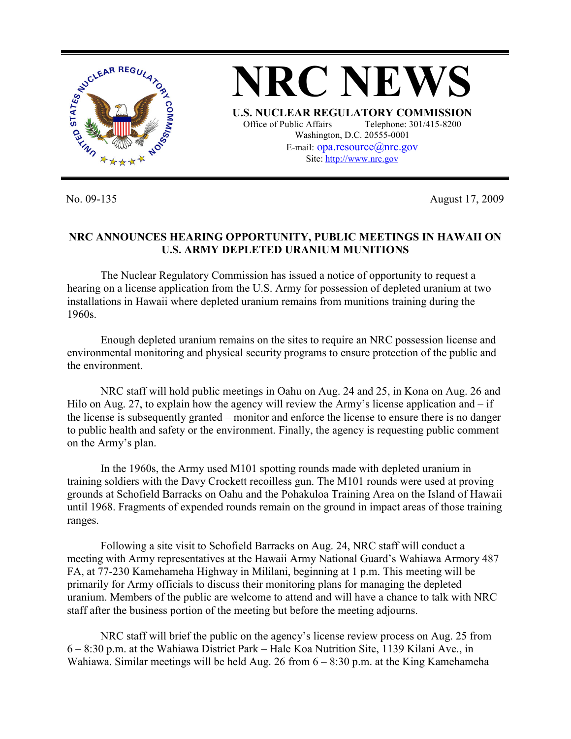

No. 09-135 August 17, 2009

## **NRC ANNOUNCES HEARING OPPORTUNITY, PUBLIC MEETINGS IN HAWAII ON U.S. ARMY DEPLETED URANIUM MUNITIONS**

 The Nuclear Regulatory Commission has issued a notice of opportunity to request a hearing on a license application from the U.S. Army for possession of depleted uranium at two installations in Hawaii where depleted uranium remains from munitions training during the 1960s.

 Enough depleted uranium remains on the sites to require an NRC possession license and environmental monitoring and physical security programs to ensure protection of the public and the environment.

 NRC staff will hold public meetings in Oahu on Aug. 24 and 25, in Kona on Aug. 26 and Hilo on Aug. 27, to explain how the agency will review the Army's license application and  $-$  if the license is subsequently granted – monitor and enforce the license to ensure there is no danger to public health and safety or the environment. Finally, the agency is requesting public comment on the Army's plan.

 In the 1960s, the Army used M101 spotting rounds made with depleted uranium in training soldiers with the Davy Crockett recoilless gun. The M101 rounds were used at proving grounds at Schofield Barracks on Oahu and the Pohakuloa Training Area on the Island of Hawaii until 1968. Fragments of expended rounds remain on the ground in impact areas of those training ranges.

 Following a site visit to Schofield Barracks on Aug. 24, NRC staff will conduct a meeting with Army representatives at the Hawaii Army National Guard's Wahiawa Armory 487 FA, at 77-230 Kamehameha Highway in Mililani, beginning at 1 p.m. This meeting will be primarily for Army officials to discuss their monitoring plans for managing the depleted uranium. Members of the public are welcome to attend and will have a chance to talk with NRC staff after the business portion of the meeting but before the meeting adjourns.

 NRC staff will brief the public on the agency's license review process on Aug. 25 from 6 – 8:30 p.m. at the Wahiawa District Park – Hale Koa Nutrition Site, 1139 Kilani Ave., in Wahiawa. Similar meetings will be held Aug. 26 from  $6 - 8:30$  p.m. at the King Kamehameha